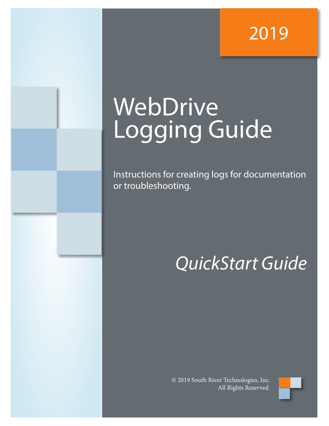### 2019

# **WebDrive** Logging Guide

Instructions for creating logs for documentation or troubleshooting.

## *QuickStart Guide*

© 2019 South River Technologies, Inc. All Rights Reserved

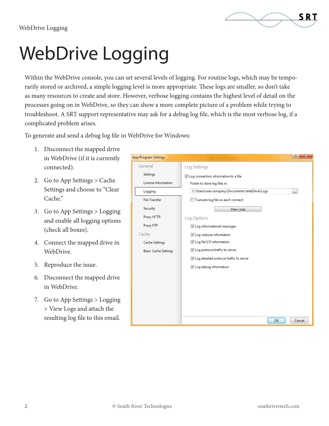

# WebDrive Logging

Within the WebDrive console, you can set several levels of logging. For routine logs, which may be temporarily stored or archived, a simple logging level is more appropriate. These logs are smaller, so don't take as many resources to create and store. However, verbose logging contains the highest level of detail on the processes going on in WebDrive, so they can show a more complete picture of a problem while trying to troubleshoot. A SRT support representative may ask for a debug log file, which is the most verbose log, if a complicated problem arises.

To generate and send a debug log file in WebDrive for Windows:

- 1. Disconnect the mapped drive in WebDrive (if it is currently connected).
- 2. Go to App Settings > Cache Settings and choose to "Clear Cache."
- 3. Go to App Settings > Logging and enable all logging options (check all boxes).
- 4. Connect the mapped drive in WebDrive.
- 5. Reproduce the issue.
- 6. Disconnect the mapped drive in WebDrive.
- 7. Go to App Settings > Logging > View Logs and attach the resulting log file to this email.

| App/Program Settings        |                                                     |
|-----------------------------|-----------------------------------------------------|
| General                     | Log Settings                                        |
| Settings                    | ☑ Log connection information to a file              |
| License Information         | Folder to store log files in                        |
| Logging                     | C:\Users\user.company\Documents\WebDrive\Logs<br>m. |
| <b>File Transfer</b>        | Truncate log file on each connect                   |
| Security                    | <b>View Logs</b>                                    |
| Proxy HTTP                  | Log Options                                         |
| Proxy FTP                   | V Log informational messages                        |
| Cache                       | U Log verbose information                           |
| <b>Cache Settings</b>       | U Log file I/O information                          |
| <b>Basic Cache Settings</b> | U Log protocol traffic to server                    |
|                             | U Log detailed protocol traffic to server           |
|                             | U Log debug information                             |
|                             |                                                     |
|                             |                                                     |
|                             |                                                     |
|                             |                                                     |
|                             |                                                     |
|                             | OK<br>Cancel                                        |